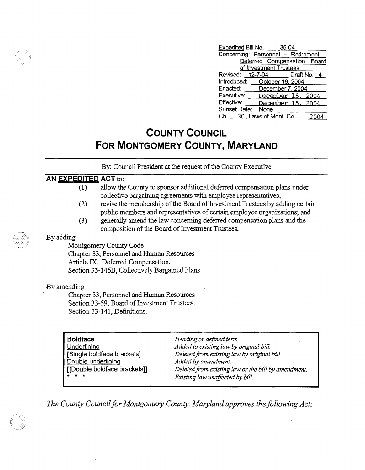| Expedited Bill No. 35-04     |                        |                                      |
|------------------------------|------------------------|--------------------------------------|
|                              |                        | Concerning: Personnel - Retirement - |
|                              |                        | Deferred Compensation, Board         |
|                              | of Investment Trustees |                                      |
|                              |                        | Revised: 12-7-04 Draft No. 4         |
| Introduced: October 19, 2004 |                        |                                      |
| Enacted: December 7, 2004    |                        |                                      |
| Executive: December 15, 2004 |                        |                                      |
| Effective:                   |                        | December 15, 2004                    |
| Sunset Date: None            |                        |                                      |
| Ch. 30, Laws of Mont. Co.    |                        |                                      |

## **COUNTY COUNCIL FOR MONTGOMERY COUNTY, MARYLAND**

By: Council President at the request of the County Executive

## **AN EXPEDITED ACT** to:

- (1) allow the County to sponsor additional deferred compensation plans under collective bargaining agreements with employee representatives;
- (2) revise the membership of the Board of Investment Trustees by adding certain public members and representatives of certain employee organizations; and
- (3) generally amend the law concerning deferred compensation plans and the composition of the Board of Investment Trustees.

## By adding

Montgomery County Code Chapter 33, Personnel and Human Resources Article IX. Deferred Compensation. Section 33-146B, Collectively Bargained Plans.

## ;By amending

Chapter 33, Personnel and Human Resources Section 33-59, Board of Investment Trustees. Section 33-141, Definitions.

| <b>Boldface</b><br>Underlining<br>[Single boldface brackets]<br>Double underlining<br>[[Double boldface brackets]]<br>تقاربت القا | Heading or defined term.<br>Added to existing law by original bill.<br>Deleted from existing law by original bill.<br>Added by amendment.<br>Deleted from existing law or the bill by amendment. |
|-----------------------------------------------------------------------------------------------------------------------------------|--------------------------------------------------------------------------------------------------------------------------------------------------------------------------------------------------|
|                                                                                                                                   | Existing law unaffected by bill.                                                                                                                                                                 |

The County Council for Montgomery County, Maryland approves the following Act:



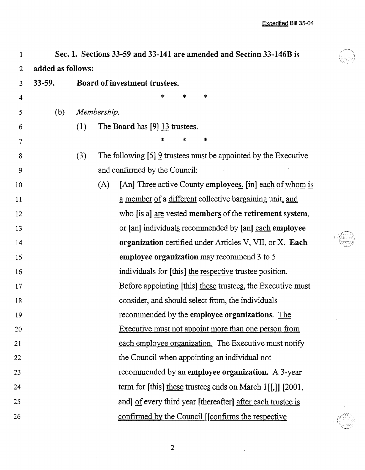$\bar{\bar{z}}$ 

| 1              | Sec. 1. Sections 33-59 and 33-141 are amended and Section 33-146B is |                                                                          |  |  |  |  |  |
|----------------|----------------------------------------------------------------------|--------------------------------------------------------------------------|--|--|--|--|--|
| $\overline{2}$ | added as follows:                                                    |                                                                          |  |  |  |  |  |
| 3              | $33 - 59.$                                                           | Board of investment trustees.                                            |  |  |  |  |  |
| 4              |                                                                      | *<br>*<br>*                                                              |  |  |  |  |  |
| 5              | (b)                                                                  | Membership.                                                              |  |  |  |  |  |
| 6              |                                                                      | The <b>Board</b> has $[9]$ 13 trustees.<br>(1)                           |  |  |  |  |  |
| $\tau$         |                                                                      | *<br>*                                                                   |  |  |  |  |  |
| 8              |                                                                      | The following $[5]$ 9 trustees must be appointed by the Executive<br>(3) |  |  |  |  |  |
| 9              |                                                                      | and confirmed by the Council:                                            |  |  |  |  |  |
| 10             |                                                                      | [An] Three active County employees, [in] each of whom is<br>(A)          |  |  |  |  |  |
| 11             |                                                                      | a member of a different collective bargaining unit, and                  |  |  |  |  |  |
| 12             |                                                                      | who [is a] are vested members of the retirement system,                  |  |  |  |  |  |
| 13             |                                                                      | or [an] individuals recommended by [an] each employee                    |  |  |  |  |  |
| 14             |                                                                      | organization certified under Articles V, VII, or X. Each                 |  |  |  |  |  |
| 15             |                                                                      | employee organization may recommend 3 to 5                               |  |  |  |  |  |
| 16             |                                                                      | individuals for [this] the respective trustee position.                  |  |  |  |  |  |
| 17             |                                                                      | Before appointing [this] these trustees, the Executive must              |  |  |  |  |  |
| 18             |                                                                      | consider, and should select from, the individuals                        |  |  |  |  |  |
| 19             |                                                                      | recommended by the employee organizations. The                           |  |  |  |  |  |
| 20             |                                                                      | Executive must not appoint more than one person from                     |  |  |  |  |  |
| 21             |                                                                      | each employee organization. The Executive must notify                    |  |  |  |  |  |
| 22             |                                                                      | the Council when appointing an individual not                            |  |  |  |  |  |
| 23             |                                                                      | recommended by an employee organization. A 3-year                        |  |  |  |  |  |
| 24             |                                                                      | term for [this] these trustees ends on March $1[[,]]$ [2001,             |  |  |  |  |  |
| 25             |                                                                      | and] of every third year [thereafter] after each trustee is              |  |  |  |  |  |
| 26             |                                                                      | confirmed by the Council [[confirms the respective                       |  |  |  |  |  |

2

 $\mathcal{A}^{\mathcal{A}}$ 

 $\hat{\boldsymbol{\beta}}$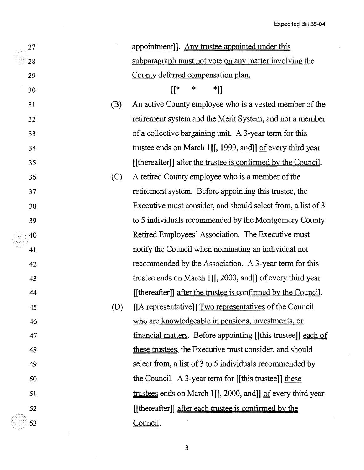$\ddot{\phantom{a}}$ 

 $\ddot{\phantom{a}}$ 

| 27 |     | appointment]. Any trustee appointed under this                           |
|----|-----|--------------------------------------------------------------------------|
| 28 |     | subparagraph must not vote on any matter involving the                   |
| 29 |     | County deferred compensation plan.                                       |
| 30 |     | $[[^*$<br>∗<br>*]]                                                       |
| 31 | (B) | An active County employee who is a vested member of the                  |
| 32 |     | retirement system and the Merit System, and not a member                 |
| 33 |     | of a collective bargaining unit. A 3-year term for this                  |
| 34 |     | trustee ends on March 1[[, 1999, and]] $\underline{of}$ every third year |
| 35 |     | [[thereafter]] after the trustee is confirmed by the Council.            |
| 36 | (C) | A retired County employee who is a member of the                         |
| 37 |     | retirement system. Before appointing this trustee, the                   |
| 38 |     | Executive must consider, and should select from, a list of 3             |
| 39 |     | to 5 individuals recommended by the Montgomery County                    |
| 40 |     | Retired Employees' Association. The Executive must                       |
| 41 |     | notify the Council when nominating an individual not                     |
| 42 |     | recommended by the Association. A 3-year term for this                   |
| 43 |     | trustee ends on March 1[[, 2000, and]] $\underline{of}$ every third year |
| 44 |     | [[thereafter]] after the trustee is confirmed by the Council.            |
| 45 | (D) | [[A representative]] Two representatives of the Council                  |
| 46 |     | who are knowledgeable in pensions, investments, or                       |
| 47 |     | <u>financial matters</u> . Before appointing [[this trustee]] each of    |
| 48 |     | these trustees, the Executive must consider, and should                  |
| 49 |     | select from, a list of 3 to 5 individuals recommended by                 |
| 50 |     | the Council. A 3-year term for $[[$ this trustee $]]$ these              |
| 51 |     | trustees ends on March 1[[, 2000, and]] of every third year              |
| 52 |     | [[thereafter]] after each trustee is confirmed by the                    |
| 53 |     | Council.                                                                 |
|    |     |                                                                          |

3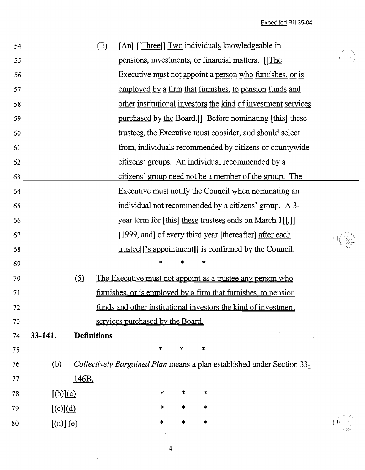Expedited Bill 35-04

 $\hat{\mathcal{A}}$ 

| 54 |                        |              | (E)                |                                  |        |        |         | [An] [[Three]] Two individuals knowledgeable in                        |  |
|----|------------------------|--------------|--------------------|----------------------------------|--------|--------|---------|------------------------------------------------------------------------|--|
| 55 |                        |              |                    |                                  |        |        |         | pensions, investments, or financial matters. [The                      |  |
| 56 |                        |              |                    |                                  |        |        |         | Executive must not appoint a person who furnishes, or is               |  |
| 57 |                        |              |                    |                                  |        |        |         | employed by a firm that furnishes, to pension funds and                |  |
| 58 |                        |              |                    |                                  |        |        |         | other institutional investors the kind of investment services          |  |
| 59 |                        |              |                    |                                  |        |        |         | purchased by the Board.]] Before nominating [this] these               |  |
| 60 |                        |              |                    |                                  |        |        |         | trustees, the Executive must consider, and should select               |  |
| 61 |                        |              |                    |                                  |        |        |         | from, individuals recommended by citizens or countywide                |  |
| 62 |                        |              |                    |                                  |        |        |         | citizens' groups. An individual recommended by a                       |  |
| 63 |                        |              |                    |                                  |        |        |         | citizens' group need not be a member of the group. The                 |  |
| 64 |                        |              |                    |                                  |        |        |         | Executive must notify the Council when nominating an                   |  |
| 65 |                        |              |                    |                                  |        |        |         | individual not recommended by a citizens' group. A 3-                  |  |
| 66 |                        |              |                    |                                  |        |        |         | year term for [this] these trustees ends on March $1[[,]]$             |  |
| 67 |                        |              |                    |                                  |        |        |         | [1999, and] of every third year [thereafter] after each                |  |
| 68 |                        |              |                    |                                  |        |        |         | trustee <sup>[['s appointment]]</sup> is confirmed by the Council.     |  |
| 69 |                        |              |                    |                                  | *      | ∗      | *       |                                                                        |  |
| 70 |                        | $\circ$      |                    |                                  |        |        |         | The Executive must not appoint as a trustee any person who             |  |
| 71 |                        |              |                    |                                  |        |        |         | furnishes, or is employed by a firm that furnishes, to pension         |  |
| 72 |                        |              |                    |                                  |        |        |         | funds and other institutional investors the kind of investment         |  |
| 73 |                        |              |                    | services purchased by the Board. |        |        |         |                                                                        |  |
| 74 | 33-141.                |              | <b>Definitions</b> |                                  |        |        |         |                                                                        |  |
| 75 |                        |              |                    |                                  | $\ast$ | $\ast$ | $\star$ |                                                                        |  |
| 76 | <u>(b)</u>             |              |                    |                                  |        |        |         | Collectively Bargained Plan means a plan established under Section 33- |  |
| 77 |                        | <u>146B.</u> |                    |                                  |        |        |         |                                                                        |  |
| 78 | [(b)](c)               |              |                    |                                  | *      | $\ast$ | *       |                                                                        |  |
| 79 | $[(c)](\underline{d})$ |              |                    |                                  | $\ast$ | *      | *       |                                                                        |  |
| 80 | $[(d)]$ (e)            |              |                    |                                  | $\ast$ | $\ast$ | $\ast$  |                                                                        |  |
|    |                        |              |                    |                                  |        |        |         |                                                                        |  |

 $\sim$   $\sim$ 

4

 $\sim$   $\sim$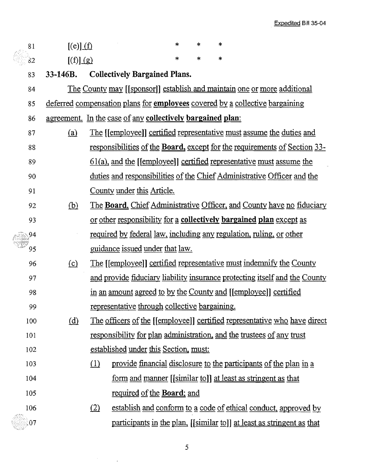| 81  | $[(e)] (\underline{f})$ |          |                                                            | $\ast$ | $\ast$ | $\ast$                                                                              |
|-----|-------------------------|----------|------------------------------------------------------------|--------|--------|-------------------------------------------------------------------------------------|
| 82  | [(f)] (g)               |          |                                                            | *      | $\ast$ | $\ast$                                                                              |
| 83  | $33-146B.$              |          | <b>Collectively Bargained Plans.</b>                       |        |        |                                                                                     |
| 84  |                         |          |                                                            |        |        | The County may [[sponsor]] establish and maintain one or more additional            |
| 85  |                         |          |                                                            |        |        | deferred compensation plans for <b>employees</b> covered by a collective bargaining |
| 86  |                         |          | agreement. In the case of any collectively bargained plan: |        |        |                                                                                     |
| 87  | (a)                     |          |                                                            |        |        | <u>The [[employee]] certified representative must assume the duties and</u>         |
| 88  |                         |          |                                                            |        |        | responsibilities of the <b>Board</b> , except for the requirements of Section 33-   |
| 89  |                         |          |                                                            |        |        | $61(a)$ , and the [[employee]] certified representative must assume the             |
| 90  |                         |          |                                                            |        |        | duties and responsibilities of the Chief Administrative Officer and the             |
| 91  |                         |          | County under this Article.                                 |        |        |                                                                                     |
| 92  | <u>(b)</u>              |          |                                                            |        |        | The Board, Chief Administrative Officer, and County have no fiduciary               |
| 93  |                         |          |                                                            |        |        | or other responsibility for a collectively bargained plan except as                 |
| 94  |                         |          |                                                            |        |        | <u>required by federal law, including any regulation, ruling, or other</u>          |
| 95  |                         |          | <u>guidance issued under that law.</u>                     |        |        |                                                                                     |
| 96  | (c)                     |          |                                                            |        |        | <u>The [[employee]] certified representative must indemnify the County</u>          |
| 97  |                         |          |                                                            |        |        | and provide fiduciary liability insurance protecting itself and the County          |
| 98  |                         |          |                                                            |        |        | in an amount agreed to by the County and [[employee]] certified                     |
| 99  |                         |          | representative through collective bargaining.              |        |        |                                                                                     |
| 100 | <u>(d)</u>              |          |                                                            |        |        | The officers of the [[employee]] certified representative who have direct           |
| 101 |                         |          |                                                            |        |        | responsibility for plan administration, and the trustees of any trust               |
| 102 |                         |          | established under this Section, must:                      |        |        |                                                                                     |
| 103 |                         | $\Omega$ |                                                            |        |        | provide financial disclosure to the participants of the plan in a                   |
| 104 |                         |          |                                                            |        |        | <u>form and manner [[similar to]] at least as stringent as that</u>                 |
| 105 |                         |          | required of the <b>Board</b> ; and                         |        |        |                                                                                     |
| 106 |                         | (2)      |                                                            |        |        | establish and conform to a code of ethical conduct, approved by                     |
| 07  |                         |          |                                                            |        |        | participants in the plan, [[similar to]] at least as stringent as that              |

 $\label{eq:2.1} \frac{d\mathbf{r}}{d\mathbf{r}} = \frac{1}{2} \left( \frac{d\mathbf{r}}{d\mathbf{r}} \right)^2.$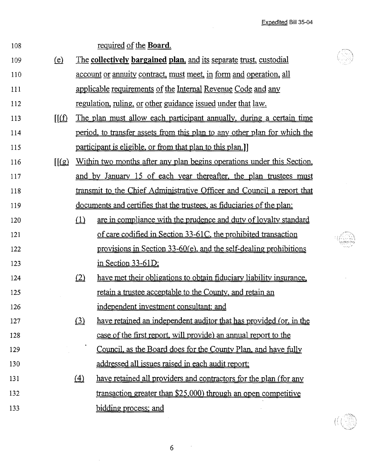Expedited Bill 35-04

 $\frac{1}{\sqrt{2}}$ 

Ü

 $\label{eq:2.1} \frac{1}{\sqrt{2\pi}}\int_{0}^{\infty}\frac{1}{\sqrt{2\pi}}\left(\frac{1}{\sqrt{2\pi}}\right)^{2}d\mu_{\rm{max}}^{2}d\mu_{\rm{max}}^{2}$ 

| 108 |                                |          | required of the Board.                                                           |  |  |  |
|-----|--------------------------------|----------|----------------------------------------------------------------------------------|--|--|--|
| 109 | <u>(e)</u>                     |          | <u>The collectively bargained plan, and its separate trust, custodial</u>        |  |  |  |
| 110 |                                |          | <u>account</u> or annuity contract, must meet, in form and operation, all        |  |  |  |
| 111 |                                |          | applicable requirements of the Internal Revenue Code and any                     |  |  |  |
| 112 |                                |          | regulation, ruling, or other guidance issued under that law.                     |  |  |  |
| 113 | $\mathbb{I}(\hat{\mathbb{I}})$ |          | The plan must allow each participant annually, during a certain time             |  |  |  |
| 114 |                                |          | <u>period, to transfer assets from this plan to any other plan for which the</u> |  |  |  |
| 115 |                                |          | participant is eligible, or from that plan to this plan.]                        |  |  |  |
| 116 | $\sqrt{\frac{g}{g}}$           |          | Within two months after any plan begins operations under this Section,           |  |  |  |
| 117 |                                |          | and by January 15 of each year thereafter, the plan trustees must                |  |  |  |
| 118 |                                |          | transmit to the Chief Administrative Officer and Council a report that           |  |  |  |
| 119 |                                |          | <u>documents and certifies that the trustees, as fiduciaries of the plan:</u>    |  |  |  |
| 120 |                                | $\Omega$ | are in compliance with the prudence and duty of lovalty standard                 |  |  |  |
| 121 |                                |          | of care codified in Section 33-61C, the prohibited transaction                   |  |  |  |
| 122 |                                |          | provisions in Section 33-60(e), and the self-dealing prohibitions                |  |  |  |
| 123 |                                |          | in Section 33-61D;                                                               |  |  |  |
| 124 |                                | (2)      | have met their obligations to obtain fiduciary liability insurance.              |  |  |  |
| 125 |                                |          | retain a trustee acceptable to the County, and retain an                         |  |  |  |
| 126 |                                |          | independent investment consultant; and                                           |  |  |  |
| 127 |                                | $\Omega$ | have retained an independent auditor that has provided (or, in the               |  |  |  |
| 128 |                                |          | case of the first report, will provide) an annual report to the                  |  |  |  |
| 129 |                                |          | Council, as the Board does for the County Plan, and have fully                   |  |  |  |
| 130 |                                |          | addressed all issues raised in each audit report:                                |  |  |  |
| 131 |                                | $\Delta$ | have retained all providers and contractors for the plan (for any                |  |  |  |
| 132 |                                |          | transaction greater than \$25,000) through an open competitive                   |  |  |  |
| 133 |                                |          | bidding process; and                                                             |  |  |  |

6

 $\sim$   $\sim$ 

 $\bar{\mathcal{E}}$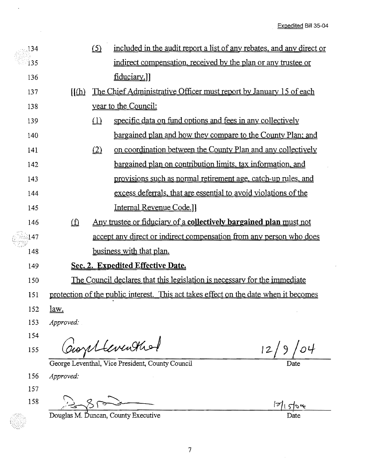$\hat{\boldsymbol{\beta}}$ 

| 134  |                         | (5)    | included in the audit report a list of any rebates, and any direct or                |
|------|-------------------------|--------|--------------------------------------------------------------------------------------|
| 135  |                         |        | indirect compensation, received by the plan or any trustee or                        |
| 136  |                         |        | fiduciary.]]                                                                         |
| 137  | $\sqrt{\ln h}$          |        | The Chief Administrative Officer must report by January 15 of each                   |
| 138  |                         |        | year to the Council:                                                                 |
| 139  |                         | $\Box$ | specific data on fund options and fees in any collectively                           |
| 140  |                         |        | <u>bargained plan and how they compare to the County Plan; and</u>                   |
| 141  |                         | (2)    | on coordination between the County Plan and any collectively                         |
| 142  |                         |        | bargained plan on contribution limits, tax information, and                          |
| 143  |                         |        | provisions such as normal retirement age, catch-up rules, and                        |
| 144  |                         |        | excess deferrals, that are essential to avoid violations of the                      |
| 145  |                         |        | Internal Revenue Code.]                                                              |
| 146  | $\overline{\mathbf{D}}$ |        | <u>Any trustee or fiduciary of a collectively bargained plan must not</u>            |
| ी 47 |                         |        | accept any direct or indirect compensation from any person who does                  |
| 148  |                         |        | business with that plan.                                                             |
| 149  |                         |        | Sec. 2. Expedited Effective Date.                                                    |
| 150  |                         |        | The Council declares that this legislation is necessary for the immediate            |
| 151  |                         |        | protection of the public interest. This act takes effect on the date when it becomes |
| 152  | <u>law.</u>             |        |                                                                                      |
| 153  | Approved:               |        |                                                                                      |
| 154  |                         |        |                                                                                      |
| 155  |                         |        | Coortleventhol                                                                       |
|      |                         |        | George Leventhal, Vice President, County Council<br>Date                             |
| 156  | Approved:               |        |                                                                                      |
| 157  |                         |        |                                                                                      |
| 158  |                         |        |                                                                                      |
|      |                         |        | Douglas M. Duncan, County Executive<br>Date                                          |

 $\ddot{\phantom{0}}$ 

 $\bar{\beta}$